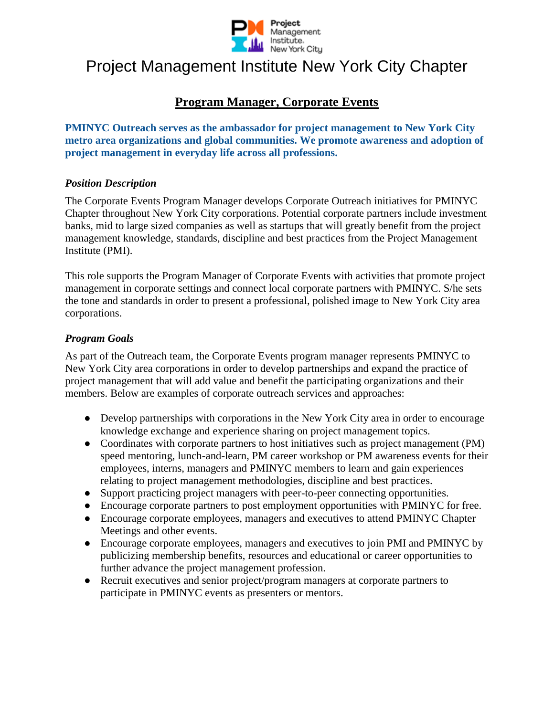

## Project Management Institute New York City Chapter

### **Program Manager, Corporate Events**

**PMINYC Outreach serves as the ambassador for project management to New York City metro area organizations and global communities. We promote awareness and adoption of project management in everyday life across all professions.**

#### *Position Description*

The Corporate Events Program Manager develops Corporate Outreach initiatives for PMINYC Chapter throughout New York City corporations. Potential corporate partners include investment banks, mid to large sized companies as well as startups that will greatly benefit from the project management knowledge, standards, discipline and best practices from the Project Management Institute (PMI).

This role supports the Program Manager of Corporate Events with activities that promote project management in corporate settings and connect local corporate partners with PMINYC. S/he sets the tone and standards in order to present a professional, polished image to New York City area corporations.

#### *Program Goals*

As part of the Outreach team, the Corporate Events program manager represents PMINYC to New York City area corporations in order to develop partnerships and expand the practice of project management that will add value and benefit the participating organizations and their members. Below are examples of corporate outreach services and approaches:

- Develop partnerships with corporations in the New York City area in order to encourage knowledge exchange and experience sharing on project management topics.
- Coordinates with corporate partners to host initiatives such as project management (PM) speed mentoring, lunch-and-learn, PM career workshop or PM awareness events for their employees, interns, managers and PMINYC members to learn and gain experiences relating to project management methodologies, discipline and best practices.
- Support practicing project managers with peer-to-peer connecting opportunities.
- Encourage corporate partners to post employment opportunities with PMINYC for free.
- Encourage corporate employees, managers and executives to attend PMINYC Chapter Meetings and other events.
- Encourage corporate employees, managers and executives to join PMI and PMINYC by publicizing membership benefits, resources and educational or career opportunities to further advance the project management profession.
- Recruit executives and senior project/program managers at corporate partners to participate in PMINYC events as presenters or mentors.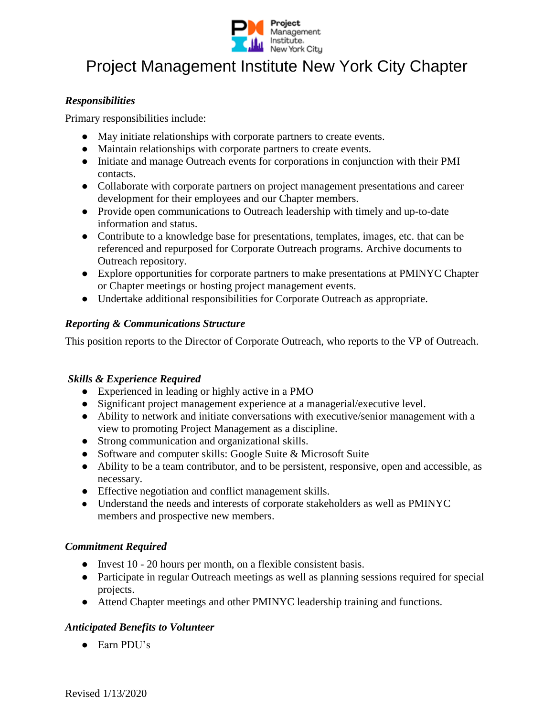

# Project Management Institute New York City Chapter

#### *Responsibilities*

Primary responsibilities include:

- May initiate relationships with corporate partners to create events.
- Maintain relationships with corporate partners to create events.
- Initiate and manage Outreach events for corporations in conjunction with their PMI contacts.
- Collaborate with corporate partners on project management presentations and career development for their employees and our Chapter members.
- Provide open communications to Outreach leadership with timely and up-to-date information and status.
- Contribute to a knowledge base for presentations, templates, images, etc. that can be referenced and repurposed for Corporate Outreach programs. Archive documents to Outreach repository.
- Explore opportunities for corporate partners to make presentations at PMINYC Chapter or Chapter meetings or hosting project management events.
- Undertake additional responsibilities for Corporate Outreach as appropriate.

#### *Reporting & Communications Structure*

This position reports to the Director of Corporate Outreach, who reports to the VP of Outreach.

### *Skills & Experience Required*

- Experienced in leading or highly active in a PMO
- Significant project management experience at a managerial/executive level.
- Ability to network and initiate conversations with executive/senior management with a view to promoting Project Management as a discipline.
- Strong communication and organizational skills.
- Software and computer skills: Google Suite & Microsoft Suite
- Ability to be a team contributor, and to be persistent, responsive, open and accessible, as necessary.
- Effective negotiation and conflict management skills.
- Understand the needs and interests of corporate stakeholders as well as PMINYC members and prospective new members.

### *Commitment Required*

- Invest 10 20 hours per month, on a flexible consistent basis.
- Participate in regular Outreach meetings as well as planning sessions required for special projects.
- Attend Chapter meetings and other PMINYC leadership training and functions.

### *Anticipated Benefits to Volunteer*

● Earn PDU's